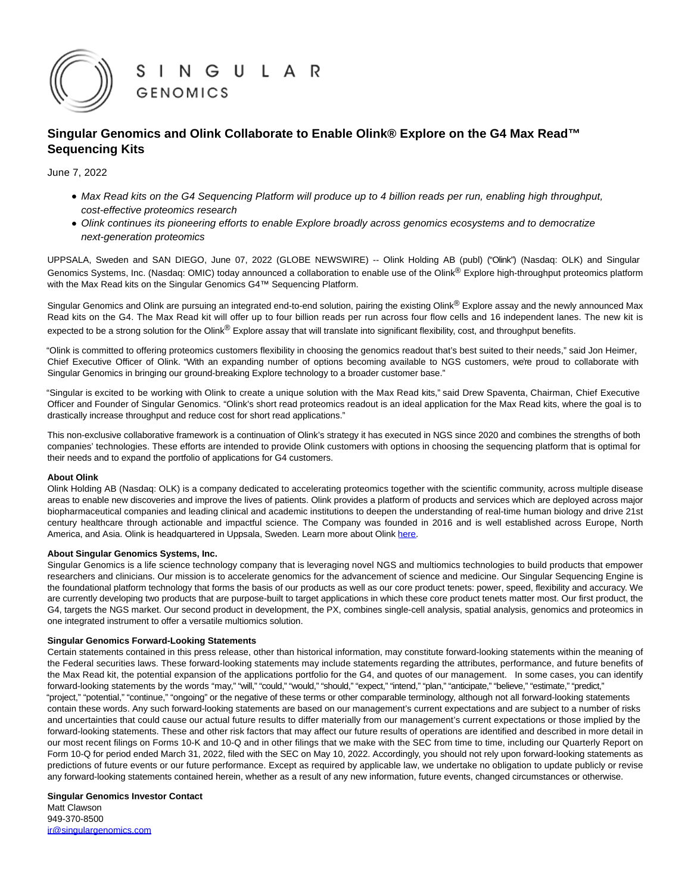

# **Singular Genomics and Olink Collaborate to Enable Olink® Explore on the G4 Max Read™ Sequencing Kits**

June 7, 2022

- Max Read kits on the G4 Sequencing Platform will produce up to 4 billion reads per run, enabling high throughput, cost-effective proteomics research
- Olink continues its pioneering efforts to enable Explore broadly across genomics ecosystems and to democratize next-generation proteomics

UPPSALA, Sweden and SAN DIEGO, June 07, 2022 (GLOBE NEWSWIRE) -- Olink Holding AB (publ) ("Olink") (Nasdaq: OLK) and Singular Genomics Systems, Inc. (Nasdaq: OMIC) today announced a collaboration to enable use of the Olink® Explore high-throughput proteomics platform with the Max Read kits on the Singular Genomics G4™ Sequencing Platform.

Singular Genomics and Olink are pursuing an integrated end-to-end solution, pairing the existing Olink<sup>®</sup> Explore assay and the newly announced Max Read kits on the G4. The Max Read kit will offer up to four billion reads per run across four flow cells and 16 independent lanes. The new kit is expected to be a strong solution for the Olink® Explore assay that will translate into significant flexibility, cost, and throughput benefits.

"Olink is committed to offering proteomics customers flexibility in choosing the genomics readout that's best suited to their needs," said Jon Heimer, Chief Executive Officer of Olink. "With an expanding number of options becoming available to NGS customers, we're proud to collaborate with Singular Genomics in bringing our ground-breaking Explore technology to a broader customer base."

"Singular is excited to be working with Olink to create a unique solution with the Max Read kits," said Drew Spaventa, Chairman, Chief Executive Officer and Founder of Singular Genomics. "Olink's short read proteomics readout is an ideal application for the Max Read kits, where the goal is to drastically increase throughput and reduce cost for short read applications."

This non-exclusive collaborative framework is a continuation of Olink's strategy it has executed in NGS since 2020 and combines the strengths of both companies' technologies. These efforts are intended to provide Olink customers with options in choosing the sequencing platform that is optimal for their needs and to expand the portfolio of applications for G4 customers.

#### **About Olink**

Olink Holding AB (Nasdaq: OLK) is a company dedicated to accelerating proteomics together with the scientific community, across multiple disease areas to enable new discoveries and improve the lives of patients. Olink provides a platform of products and services which are deployed across major biopharmaceutical companies and leading clinical and academic institutions to deepen the understanding of real-time human biology and drive 21st century healthcare through actionable and impactful science. The Company was founded in 2016 and is well established across Europe, North America, and Asia. Olink is headquartered in Uppsala, Sweden. Learn more about Olink [here.](https://www.globenewswire.com/Tracker?data=IBPJnjajkYPZnaRzWns7u5iJwQstNoY3WSeh8xdbpAxr3XEdsH94K_MNwBht9l7t)

### **About Singular Genomics Systems, Inc.**

Singular Genomics is a life science technology company that is leveraging novel NGS and multiomics technologies to build products that empower researchers and clinicians. Our mission is to accelerate genomics for the advancement of science and medicine. Our Singular Sequencing Engine is the foundational platform technology that forms the basis of our products as well as our core product tenets: power, speed, flexibility and accuracy. We are currently developing two products that are purpose-built to target applications in which these core product tenets matter most. Our first product, the G4, targets the NGS market. Our second product in development, the PX, combines single-cell analysis, spatial analysis, genomics and proteomics in one integrated instrument to offer a versatile multiomics solution.

#### **Singular Genomics Forward-Looking Statements**

Certain statements contained in this press release, other than historical information, may constitute forward-looking statements within the meaning of the Federal securities laws. These forward-looking statements may include statements regarding the attributes, performance, and future benefits of the Max Read kit, the potential expansion of the applications portfolio for the G4, and quotes of our management. In some cases, you can identify forward-looking statements by the words "may," "will," "could," "would," "should," "expect," "intend," "plan," "anticipate," "believe," "estimate," "predict," "project," "potential," "continue," "ongoing" or the negative of these terms or other comparable terminology, although not all forward-looking statements contain these words. Any such forward-looking statements are based on our management's current expectations and are subject to a number of risks and uncertainties that could cause our actual future results to differ materially from our management's current expectations or those implied by the forward-looking statements. These and other risk factors that may affect our future results of operations are identified and described in more detail in our most recent filings on Forms 10-K and 10-Q and in other filings that we make with the SEC from time to time, including our Quarterly Report on Form 10-Q for period ended March 31, 2022, filed with the SEC on May 10, 2022. Accordingly, you should not rely upon forward-looking statements as predictions of future events or our future performance. Except as required by applicable law, we undertake no obligation to update publicly or revise any forward-looking statements contained herein, whether as a result of any new information, future events, changed circumstances or otherwise.

#### **Singular Genomics Investor Contact**

Matt Clawson 949-370-8500 [ir@singulargenomics.com](https://www.globenewswire.com/Tracker?data=t0extPX-TDsNTg0xos7JkyOBFkLpuQDXyb-4PYnmOit-Gvy_0kj2wmfPvZEbeNLYCzkkNeYmDh_PShjhjydjIhpl3M_UC06q23RDDTrQZLA=)